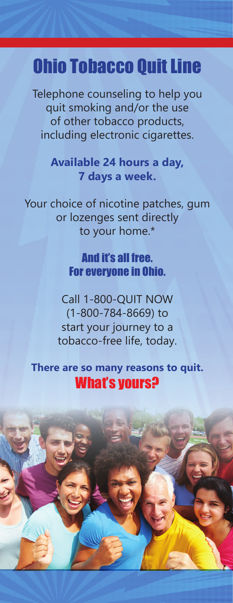## Ohio Tobacco Quit Line

Telephone counseling to help you quit smoking and/or the use of other tobacco products, including electronic cigarettes.

> **Available 24 hours a day, 7 days a week.**

Your choice of nicotine patches, gum or lozenges sent directly to your home.\*

## And it's all free. For everyone in Ohio.

Call 1-800-QUIT NOW (1-800-784-8669) to start your journey to a tobacco-free life, today.

**There are so many reasons to quit.**  What's yours?

\*Participation in counseling program required, subject to medical eligibility.